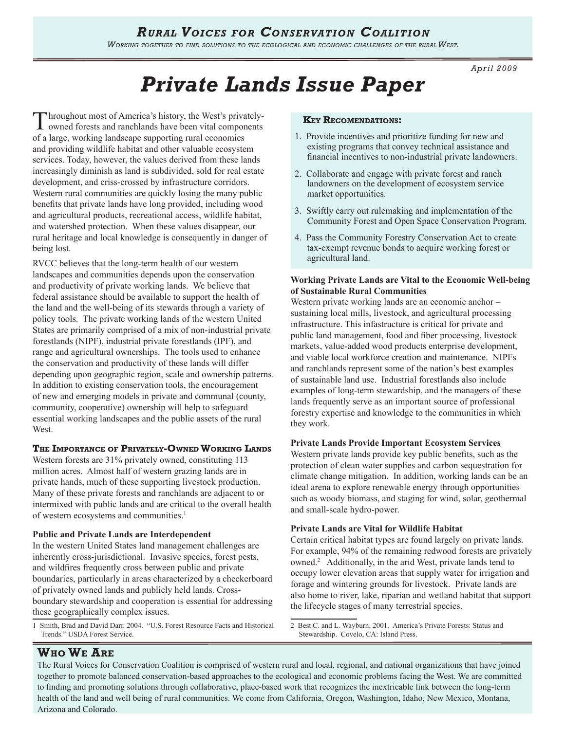*Working together to find solutions to the ecological and economic challenges of the rural West.* 

*April 2009*

# *Private Lands Issue Paper*

Throughout most of America's history, the West's privatelyowned forests and ranchlands have been vital components of a large, working landscape supporting rural economies and providing wildlife habitat and other valuable ecosystem services. Today, however, the values derived from these lands increasingly diminish as land is subdivided, sold for real estate development, and criss-crossed by infrastructure corridors. Western rural communities are quickly losing the many public benefits that private lands have long provided, including wood and agricultural products, recreational access, wildlife habitat, and watershed protection. When these values disappear, our rural heritage and local knowledge is consequently in danger of being lost.

RVCC believes that the long-term health of our western landscapes and communities depends upon the conservation and productivity of private working lands. We believe that federal assistance should be available to support the health of the land and the well-being of its stewards through a variety of policy tools. The private working lands of the western United States are primarily comprised of a mix of non-industrial private forestlands (NIPF), industrial private forestlands (IPF), and range and agricultural ownerships. The tools used to enhance the conservation and productivity of these lands will differ depending upon geographic region, scale and ownership patterns. In addition to existing conservation tools, the encouragement of new and emerging models in private and communal (county, community, cooperative) ownership will help to safeguard essential working landscapes and the public assets of the rural West.

# **The Importance of Privately-OwnedWorking Lands**

Western forests are 31% privately owned, constituting 113 million acres. Almost half of western grazing lands are in private hands, much of these supporting livestock production. Many of these private forests and ranchlands are adjacent to or intermixed with public lands and are critical to the overall health of western ecosystems and communities.<sup>1</sup>

#### **Public and Private Lands are Interdependent**

In the western United States land management challenges are inherently cross-jurisdictional. Invasive species, forest pests, and wildfires frequently cross between public and private boundaries, particularly in areas characterized by a checkerboard of privately owned lands and publicly held lands. Crossboundary stewardship and cooperation is essential for addressing these geographically complex issues.

1 Smith, Brad and David Darr. 2004. "U.S. Forest Resource Facts and Historical Trends." USDA Forest Service.

#### **Key Recomendations:**

- 1.Provide incentives and prioritize funding for new and existing programs that convey technical assistance and financial incentives to non-industrial private landowners.
- 2. Collaborate and engage with private forest and ranch landowners on the development of ecosystem service market opportunities.
- 3. Swiftly carry out rulemaking and implementation of the Community Forest and Open Space Conservation Program.
- 4. Pass the Community Forestry Conservation Act to create tax-exempt revenue bonds to acquire working forest or agricultural land.

#### **Working Private Lands are Vital to the Economic Well-being of Sustainable Rural Communities**

Western private working lands are an economic anchor – sustaining local mills, livestock, and agricultural processing infrastructure. This infastructure is critical for private and public land management, food and fiber processing, livestock markets, value-added wood products enterprise development, and viable local workforce creation and maintenance. NIPFs and ranchlands represent some of the nation's best examples of sustainable land use. Industrial forestlands also include examples of long-term stewardship, and the managers of these lands frequently serve as an important source of professional forestry expertise and knowledge to the communities in which they work.

#### **Private Lands Provide Important Ecosystem Services**

Western private lands provide key public benefits, such as the protection of clean water supplies and carbon sequestration for climate change mitigation. In addition, working lands can be an ideal arena to explore renewable energy through opportunities such as woody biomass, and staging for wind, solar, geothermal and small-scale hydro-power.

#### **Private Lands are Vital for Wildlife Habitat**

Certain critical habitat types are found largely on private lands. For example, 94% of the remaining redwood forests are privately owned.<sup>2</sup> Additionally, in the arid West, private lands tend to occupy lower elevation areas that supply water for irrigation and forage and wintering grounds for livestock. Private lands are also home to river, lake, riparian and wetland habitat that support the lifecycle stages of many terrestrial species.

2 Best C. and L. Wayburn, 2001. America's Private Forests: Status and Stewardship. Covelo, CA: Island Press.

# **Who We Are**

The Rural Voices for Conservation Coalition is comprised of western rural and local, regional, and national organizations that have joined together to promote balanced conservation-based approaches to the ecological and economic problems facing the West. We are committed to finding and promoting solutions through collaborative, place-based work that recognizes the inextricable link between the long-term health of the land and well being of rural communities. We come from California, Oregon, Washington, Idaho, New Mexico, Montana, Arizona and Colorado.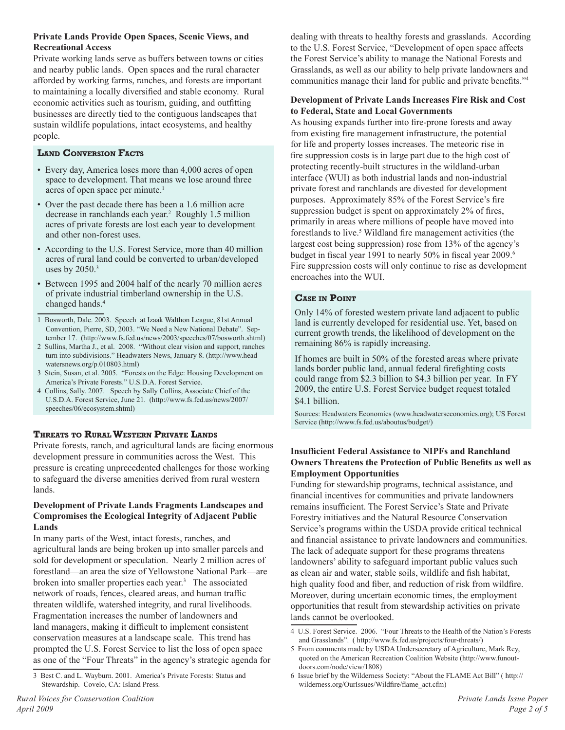# **Private Lands Provide Open Spaces, Scenic Views, and Recreational Access**

Private working lands serve as buffers between towns or cities and nearby public lands. Open spaces and the rural character afforded by working farms, ranches, and forests are important to maintaining a locally diversified and stable economy. Rural economic activities such as tourism, guiding, and outfitting businesses are directly tied to the contiguous landscapes that sustain wildlife populations, intact ecosystems, and healthy people.

# **Land Conversion Facts**

- Every day, America loses more than 4,000 acres of open space to development. That means we lose around three acres of open space per minute.<sup>1</sup>
- Over the past decade there has been a 1.6 million acre decrease in ranchlands each year.2 Roughly 1.5 million acres of private forests are lost each year to development and other non-forest uses.
- According to the U.S. Forest Service, more than 40 million acres of rural land could be converted to urban/developed uses by  $2050$ .<sup>3</sup>
- Between 1995 and 2004 half of the nearly 70 million acres of private industrial timberland ownership in the U.S. changed hands.4
- 1 Bosworth, Dale. 2003. Speech at Izaak Walthon League, 81st Annual Convention, Pierre, SD, 2003. "We Need a New National Debate". September 17. (http://www.fs.fed.us/news/2003/speeches/07/bosworth.shtml)
- 2 Sullins, Martha J., et al. 2008. "Without clear vision and support, ranches turn into subdivisions." Headwaters News, January 8. (http://www.head watersnews.org/p.010803.html)
- 3 Stein, Susan, et al. 2005. "Forests on the Edge: Housing Development on America's Private Forests." U.S.D.A. Forest Service.
- 4 Collins, Sally. 2007. Speech by Sally Collins, Associate Chief of the U.S.D.A. Forest Service, June 21. (http://www.fs.fed.us/news/2007/ speeches/06/ecosystem.shtml)

# **Threats to RuralWestern Private Lands**

Private forests, ranch, and agricultural lands are facing enormous development pressure in communities across the West. This pressure is creating unprecedented challenges for those working to safeguard the diverse amenities derived from rural western lands.

#### **Development of Private Lands Fragments Landscapes and Compromises the Ecological Integrity of Adjacent Public Lands**

In many parts of the West, intact forests, ranches, and agricultural lands are being broken up into smaller parcels and sold for development or speculation. Nearly 2 million acres of forestland—an area the size of Yellowstone National Park—are broken into smaller properties each year.<sup>3</sup> The associated network of roads, fences, cleared areas, and human traffic threaten wildlife, watershed integrity, and rural livelihoods. Fragmentation increases the number of landowners and land managers, making it difficult to implement consistent conservation measures at a landscape scale. This trend has prompted the U.S. Forest Service to list the loss of open space as one of the "Four Threats" in the agency's strategic agenda for dealing with threats to healthy forests and grasslands. According to the U.S. Forest Service, "Development of open space affects the Forest Service's ability to manage the National Forests and Grasslands, as well as our ability to help private landowners and communities manage their land for public and private benefits."<sup>4</sup>

#### **Development of Private Lands Increases Fire Risk and Cost to Federal, State and Local Governments**

As housing expands further into fire-prone forests and away from existing fire management infrastructure, the potential for life and property losses increases. The meteoric rise in fire suppression costs is in large part due to the high cost of protecting recently-built structures in the wildland-urban interface (WUI) as both industrial lands and non-industrial private forest and ranchlands are divested for development purposes. Approximately 85% of the Forest Service's fire suppression budget is spent on approximately 2% of fires, primarily in areas where millions of people have moved into forestlands to live.<sup>5</sup> Wildland fire management activities (the largest cost being suppression) rose from 13% of the agency's budget in fiscal year 1991 to nearly 50% in fiscal year 2009.<sup>6</sup> Fire suppression costs will only continue to rise as development encroaches into the WUI.

# **Case in Point**

Only 14% of forested western private land adjacent to public land is currently developed for residential use. Yet, based on current growth trends, the likelihood of development on the remaining 86% is rapidly increasing.

If homes are built in 50% of the forested areas where private lands border public land, annual federal firefighting costs could range from \$2.3 billion to \$4.3 billion per year. In FY 2009, the entire U.S. Forest Service budget request totaled \$4.1 billion.

Sources: Headwaters Economics (www.headwaterseconomics.org); US Forest Service (http://www.fs.fed.us/aboutus/budget/)

# **Insufficient Federal Assistance to NIPFs and Ranchland Owners Threatens the Protection of Public Benefits as well as Employment Opportunities**

Funding for stewardship programs, technical assistance, and financial incentives for communities and private landowners remains insufficient. The Forest Service's State and Private Forestry initiatives and the Natural Resource Conservation Service's programs within the USDA provide critical technical and financial assistance to private landowners and communities. The lack of adequate support for these programs threatens landowners' ability to safeguard important public values such as clean air and water, stable soils, wildlife and fish habitat, high quality food and fiber, and reduction of risk from wildfire. Moreover, during uncertain economic times, the employment opportunities that result from stewardship activities on private lands cannot be overlooked.

4 U.S. Forest Service. 2006. "Four Threats to the Health of the Nation's Forests and Grasslands". ( http://www.fs.fed.us/projects/four-threats/)

<sup>3</sup> Best C. and L. Wayburn. 2001. America's Private Forests: Status and Stewardship. Covelo, CA: Island Press.

<sup>5</sup> From comments made by USDA Undersecretary of Agriculture, Mark Rey, quoted on the American Recreation Coalition Website (http://www.funoutdoors.com/node/view/1808)

<sup>6</sup> Issue brief by the Wilderness Society: "About the FLAME Act Bill" ( http:// wilderness.org/OurIssues/Wildfire/flame\_act.cfm)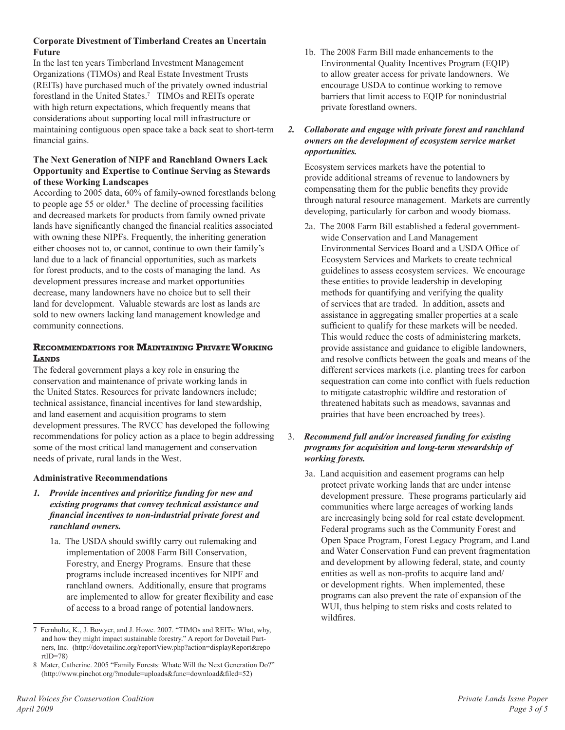# **Corporate Divestment of Timberland Creates an Uncertain Future**

In the last ten years Timberland Investment Management Organizations (TIMOs) and Real Estate Investment Trusts (REITs) have purchased much of the privately owned industrial forestland in the United States.<sup>7</sup> TIMOs and REITs operate with high return expectations, which frequently means that considerations about supporting local mill infrastructure or maintaining contiguous open space take a back seat to short-term financial gains.

# **The Next Generation of NIPF and Ranchland Owners Lack Opportunity and Expertise to Continue Serving as Stewards of these Working Landscapes**

According to 2005 data, 60% of family-owned forestlands belong to people age 55 or older.<sup>8</sup> The decline of processing facilities and decreased markets for products from family owned private lands have significantly changed the financial realities associated with owning these NIPFs. Frequently, the inheriting generation either chooses not to, or cannot, continue to own their family's land due to a lack of financial opportunities, such as markets for forest products, and to the costs of managing the land. As development pressures increase and market opportunities decrease, many landowners have no choice but to sell their land for development. Valuable stewards are lost as lands are sold to new owners lacking land management knowledge and community connections.

# **Recommendations for Maintaining PrivateWorking Lands**

The federal government plays a key role in ensuring the conservation and maintenance of private working lands in the United States. Resources for private landowners include; technical assistance, financial incentives for land stewardship, and land easement and acquisition programs to stem development pressures. The RVCC has developed the following recommendations for policy action as a place to begin addressing some of the most critical land management and conservation needs of private, rural lands in the West.

# **Administrative Recommendations**

- *1. Provide incentives and prioritize funding for new and existing programs that convey technical assistance and financial incentives to non-industrial private forest and ranchland owners.*
	- 1a. The USDA should swiftly carry out rulemaking and implementation of 2008 Farm Bill Conservation, Forestry, and Energy Programs. Ensure that these programs include increased incentives for NIPF and ranchland owners. Additionally, ensure that programs are implemented to allow for greater flexibility and ease of access to a broad range of potential landowners.

1b. The 2008 Farm Bill made enhancements to the Environmental Quality Incentives Program (EQIP) to allow greater access for private landowners. We encourage USDA to continue working to remove barriers that limit access to EQIP for nonindustrial private forestland owners.

# *2. Collaborate and engage with private forest and ranchland owners on the development of ecosystem service market opportunities.*

Ecosystem services markets have the potential to provide additional streams of revenue to landowners by compensating them for the public benefits they provide through natural resource management. Markets are currently developing, particularly for carbon and woody biomass.

2a. The 2008 Farm Bill established a federal governmentwide Conservation and Land Management Environmental Services Board and a USDA Office of Ecosystem Services and Markets to create technical guidelines to assess ecosystem services. We encourage these entities to provide leadership in developing methods for quantifying and verifying the quality of services that are traded. In addition, assets and assistance in aggregating smaller properties at a scale sufficient to qualify for these markets will be needed. This would reduce the costs of administering markets, provide assistance and guidance to eligible landowners, and resolve conflicts between the goals and means of the different services markets (i.e. planting trees for carbon sequestration can come into conflict with fuels reduction to mitigate catastrophic wildfire and restoration of threatened habitats such as meadows, savannas and prairies that have been encroached by trees).

# 3. *Recommend full and/or increased funding for existing programs for acquisition and long-term stewardship of working forests.*

3a. Land acquisition and easement programs can help protect private working lands that are under intense development pressure. These programs particularly aid communities where large acreages of working lands are increasingly being sold for real estate development. Federal programs such as the Community Forest and Open Space Program, Forest Legacy Program, and Land and Water Conservation Fund can prevent fragmentation and development by allowing federal, state, and county entities as well as non-profits to acquire land and/ or development rights. When implemented, these programs can also prevent the rate of expansion of the WUI, thus helping to stem risks and costs related to wildfires.

<sup>7</sup> Fernholtz, K., J. Bowyer, and J. Howe. 2007. "TIMOs and REITs: What, why, and how they might impact sustainable forestry." A report for Dovetail Partners, Inc. (http://dovetailinc.org/reportView.php?action=displayReport&repo rtID=78)

<sup>8</sup> Mater, Catherine. 2005 "Family Forests: Whate Will the Next Generation Do?" (http://www.pinchot.org/?module=uploads&func=download&filed=52)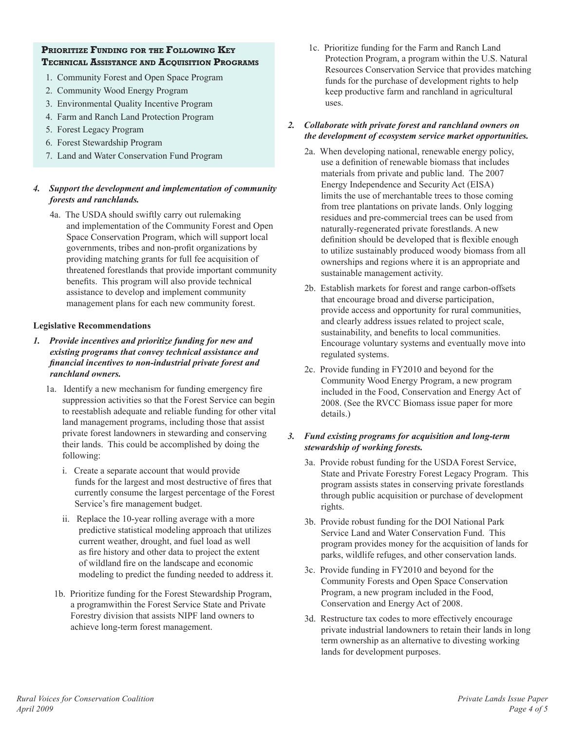# **Prioritize Funding for the Following Key Technical Assistance and Acquisition Programs**

- 1. Community Forest and Open Space Program
- 2. Community Wood Energy Program
- 3. Environmental Quality Incentive Program
- 4. Farm and Ranch Land Protection Program
- 5. Forest Legacy Program
- 6. Forest Stewardship Program
- 7. Land and Water Conservation Fund Program

# *4. Support the development and implementation of community forests and ranchlands.*

4a. The USDA should swiftly carry out rulemaking and implementation of the Community Forest and Open Space Conservation Program, which will support local governments, tribes and non-profit organizations by providing matching grants for full fee acquisition of threatened forestlands that provide important community benefits. This program will also provide technical assistance to develop and implement community management plans for each new community forest.

#### **Legislative Recommendations**

- *1. Provide incentives and prioritize funding for new and existing programs that convey technical assistance and financial incentives to non-industrial private forest and ranchland owners.*
	- 1a. Identify a new mechanism for funding emergency fire suppression activities so that the Forest Service can begin to reestablish adequate and reliable funding for other vital land management programs, including those that assist private forest landowners in stewarding and conserving their lands. This could be accomplished by doing the following:
		- i. Create a separate account that would provide funds for the largest and most destructive of fires that currently consume the largest percentage of the Forest Service's fire management budget.
		- ii. Replace the 10-year rolling average with a more predictive statistical modeling approach that utilizes current weather, drought, and fuel load as well as fire history and other data to project the extent of wildland fire on the landscape and economic modeling to predict the funding needed to address it.
		- 1b. Prioritize funding for the Forest Stewardship Program, a programwithin the Forest Service State and Private Forestry division that assists NIPF land owners to achieve long-term forest management.

1c. Prioritize funding for the Farm and Ranch Land Protection Program, a program within the U.S. Natural Resources Conservation Service that provides matching funds for the purchase of development rights to help keep productive farm and ranchland in agricultural uses.

#### *2. Collaborate with private forest and ranchland owners on the development of ecosystem service market opportunities.*

- 2a. When developing national, renewable energy policy, use a definition of renewable biomass that includes materials from private and public land. The 2007 Energy Independence and Security Act (EISA) limits the use of merchantable trees to those coming from tree plantations on private lands. Only logging residues and pre-commercial trees can be used from naturally-regenerated private forestlands. A new definition should be developed that is flexible enough to utilize sustainably produced woody biomass from all ownerships and regions where it is an appropriate and sustainable management activity.
- 2b. Establish markets for forest and range carbon-offsets that encourage broad and diverse participation, provide access and opportunity for rural communities, and clearly address issues related to project scale, sustainability, and benefits to local communities. Encourage voluntary systems and eventually move into regulated systems.
- 2c. Provide funding in FY2010 and beyond for the Community Wood Energy Program, a new program included in the Food, Conservation and Energy Act of 2008. (See the RVCC Biomass issue paper for more details.)

#### *3. Fund existing programs for acquisition and long-term stewardship of working forests.*

- 3a. Provide robust funding for the USDA Forest Service, State and Private Forestry Forest Legacy Program. This program assists states in conserving private forestlands through public acquisition or purchase of development rights.
- 3b. Provide robust funding for the DOI National Park Service Land and Water Conservation Fund. This program provides money for the acquisition of lands for parks, wildlife refuges, and other conservation lands.
- 3c. Provide funding in FY2010 and beyond for the Community Forests and Open Space Conservation Program, a new program included in the Food, Conservation and Energy Act of 2008.
- 3d. Restructure tax codes to more effectively encourage private industrial landowners to retain their lands in long term ownership as an alternative to divesting working lands for development purposes.